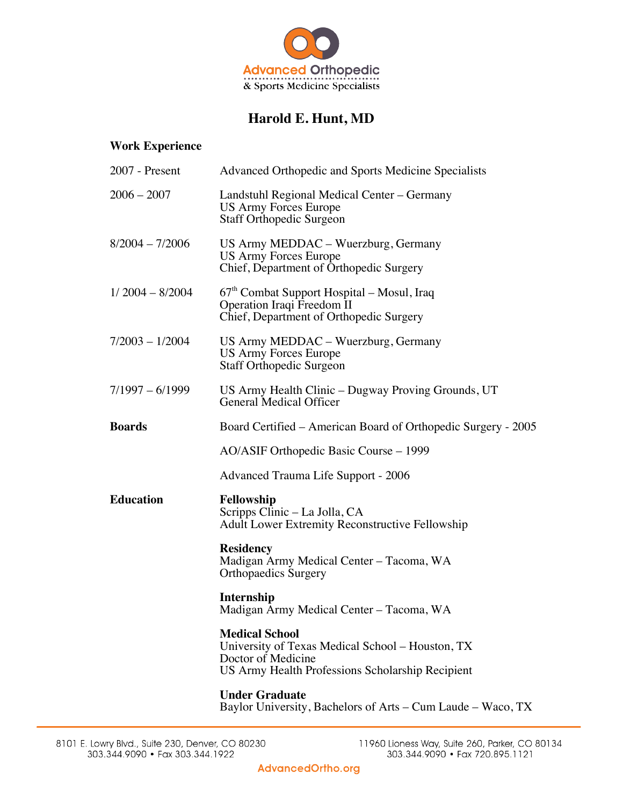

## **Harold E. Hunt, MD**

## **Work Experience**

| 2007 - Present    | Advanced Orthopedic and Sports Medicine Specialists                                                                                                 |
|-------------------|-----------------------------------------------------------------------------------------------------------------------------------------------------|
| $2006 - 2007$     | Landstuhl Regional Medical Center – Germany<br>US Army Forces Europe<br><b>Staff Orthopedic Surgeon</b>                                             |
| 8/2004 - 7/2006   | US Army MEDDAC - Wuerzburg, Germany<br><b>US Army Forces Europe</b><br>Chief, Department of Orthopedic Surgery                                      |
| $1/2004 - 8/2004$ | 67 <sup>th</sup> Combat Support Hospital – Mosul, Iraq<br>Operation Iraqi Freedom II<br>Chief, Department of Orthopedic Surgery                     |
| 7/2003 - 1/2004   | US Army MEDDAC – Wuerzburg, Germany<br><b>US Army Forces Europe</b><br><b>Staff Orthopedic Surgeon</b>                                              |
| 7/1997 – 6/1999   | US Army Health Clinic – Dugway Proving Grounds, UT<br><b>General Medical Officer</b>                                                                |
| Boards            | Board Certified – American Board of Orthopedic Surgery - 2005                                                                                       |
|                   | AO/ASIF Orthopedic Basic Course – 1999                                                                                                              |
|                   | Advanced Trauma Life Support - 2006                                                                                                                 |
| Education         | Fellowship<br>Scripps Clinic – La Jolla, CA<br><b>Adult Lower Extremity Reconstructive Fellowship</b>                                               |
|                   | <b>Residency</b><br>Madigan Army Medical Center - Tacoma, WA<br><b>Orthopaedics Surgery</b>                                                         |
|                   | Internship<br>Madigan Army Medical Center – Tacoma, WA                                                                                              |
|                   | <b>Medical School</b><br>University of Texas Medical School - Houston, TX<br>Doctor of Medicine<br>US Army Health Professions Scholarship Recipient |
|                   | <b>Under Graduate</b><br>Baylor University, Bachelors of Arts – Cum Laude – Waco, TX                                                                |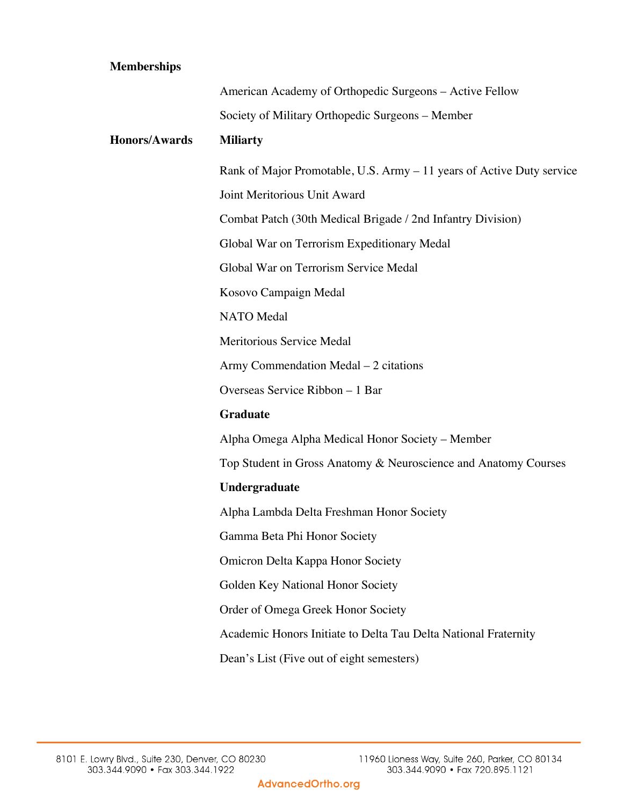## **Memberships**

|                      | American Academy of Orthopedic Surgeons - Active Fellow               |
|----------------------|-----------------------------------------------------------------------|
|                      | Society of Military Orthopedic Surgeons - Member                      |
| <b>Honors/Awards</b> | <b>Miliarty</b>                                                       |
|                      | Rank of Major Promotable, U.S. Army – 11 years of Active Duty service |
|                      | Joint Meritorious Unit Award                                          |
|                      | Combat Patch (30th Medical Brigade / 2nd Infantry Division)           |
|                      | Global War on Terrorism Expeditionary Medal                           |
|                      | Global War on Terrorism Service Medal                                 |
|                      | Kosovo Campaign Medal                                                 |
|                      | <b>NATO</b> Medal                                                     |
|                      | Meritorious Service Medal                                             |
|                      | Army Commendation Medal – 2 citations                                 |
|                      | Overseas Service Ribbon - 1 Bar                                       |
|                      | <b>Graduate</b>                                                       |
|                      | Alpha Omega Alpha Medical Honor Society - Member                      |
|                      | Top Student in Gross Anatomy & Neuroscience and Anatomy Courses       |
|                      | Undergraduate                                                         |
|                      | Alpha Lambda Delta Freshman Honor Society                             |
|                      | Gamma Beta Phi Honor Society                                          |
|                      | <b>Omicron Delta Kappa Honor Society</b>                              |
|                      | Golden Key National Honor Society                                     |
|                      | Order of Omega Greek Honor Society                                    |
|                      | Academic Honors Initiate to Delta Tau Delta National Fraternity       |
|                      | Dean's List (Five out of eight semesters)                             |
|                      |                                                                       |